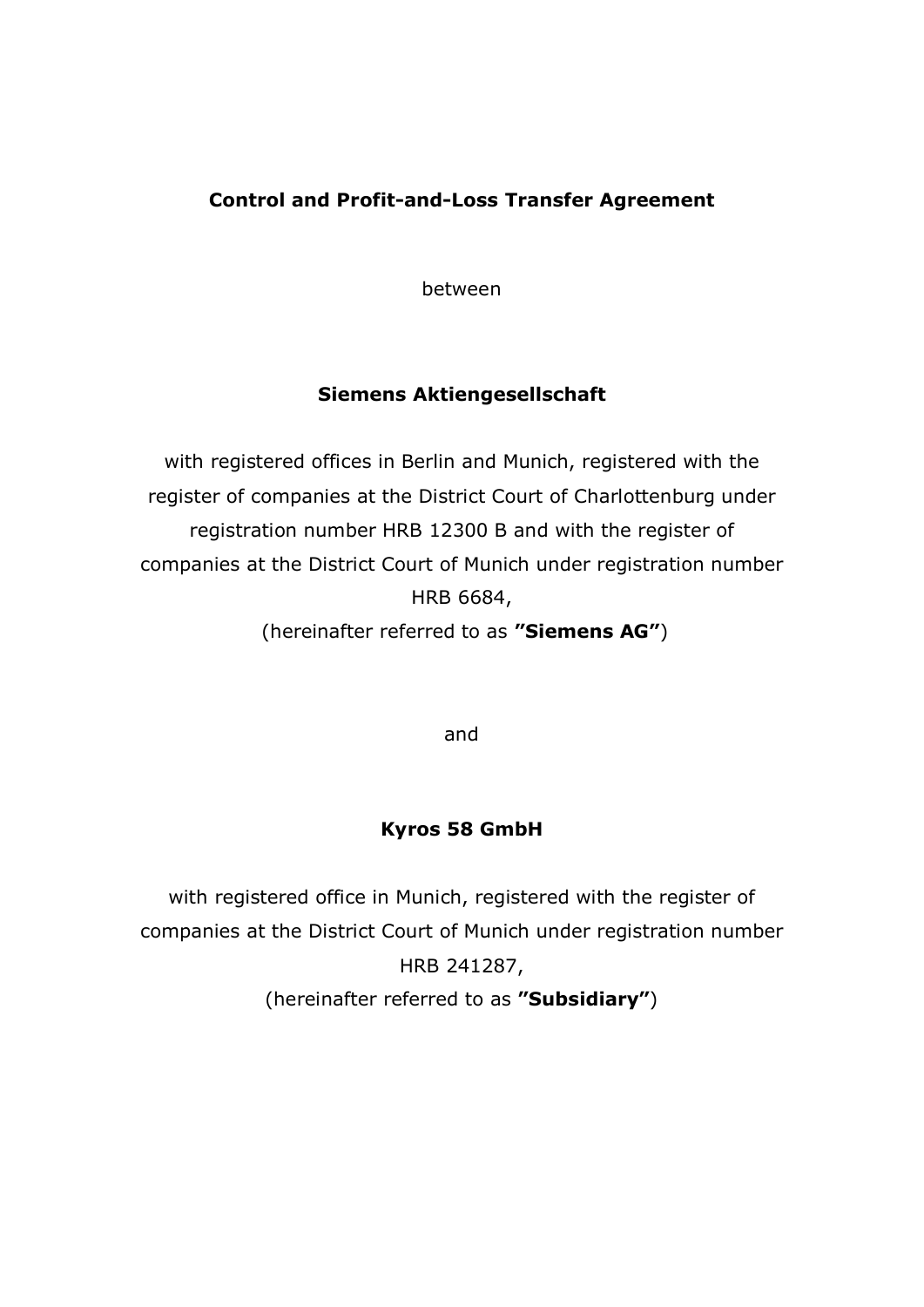# **Control and Profit-and-Loss Transfer Agreement**

between

# **Siemens Aktiengesellschaft**

with registered offices in Berlin and Munich, registered with the register of companies at the District Court of Charlottenburg under registration number HRB 12300 B and with the register of companies at the District Court of Munich under registration number HRB 6684, (hereinafter referred to as **"Siemens AG"**)

and

# **Kyros 58 GmbH**

with registered office in Munich, registered with the register of companies at the District Court of Munich under registration number HRB 241287, (hereinafter referred to as **"Subsidiary"**)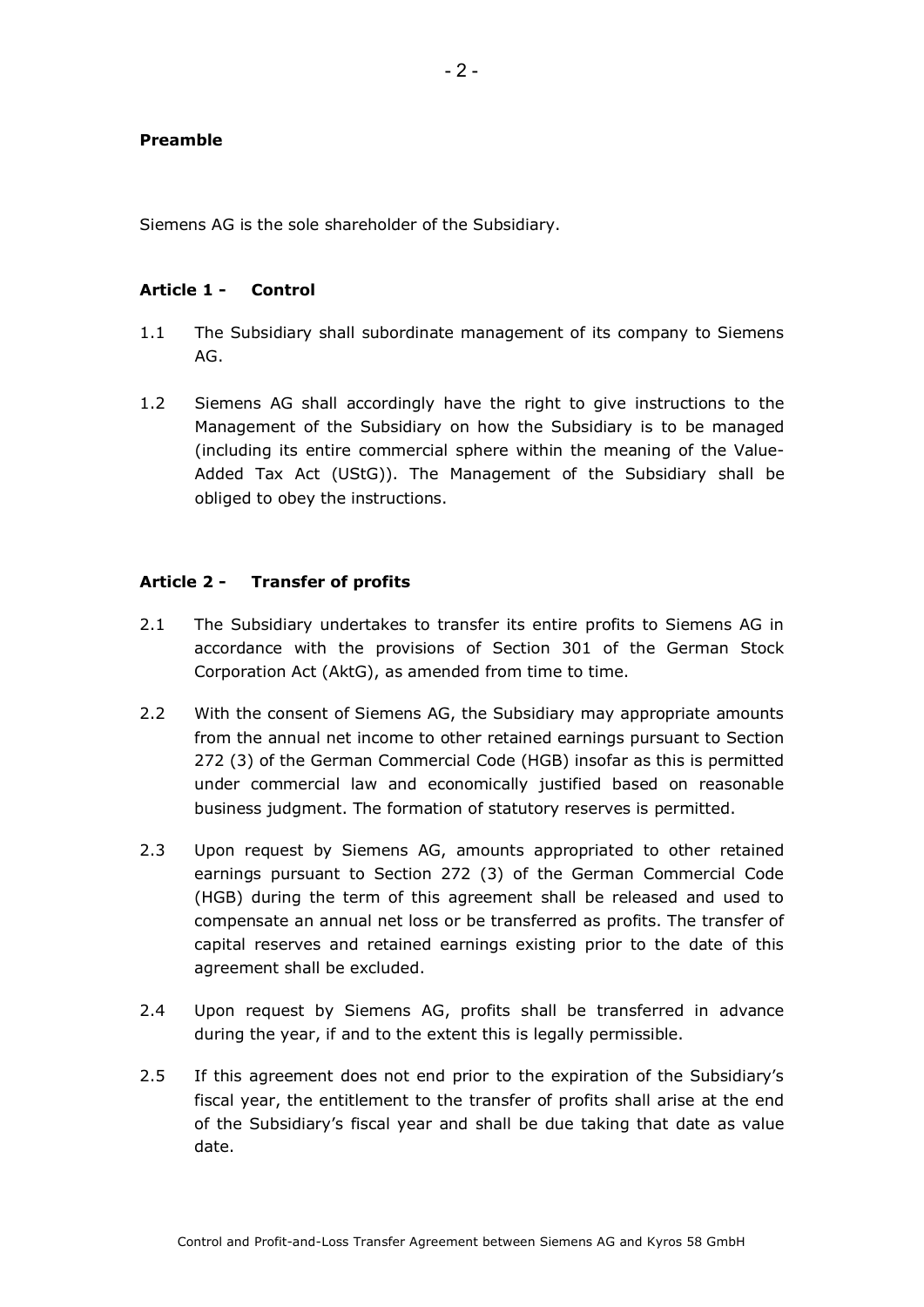### **Preamble**

Siemens AG is the sole shareholder of the Subsidiary.

#### **Article 1 - Control**

- 1.1 The Subsidiary shall subordinate management of its company to Siemens AG.
- 1.2 Siemens AG shall accordingly have the right to give instructions to the Management of the Subsidiary on how the Subsidiary is to be managed (including its entire commercial sphere within the meaning of the Value-Added Tax Act (UStG)). The Management of the Subsidiary shall be obliged to obey the instructions.

### **Article 2 - Transfer of profits**

- 2.1 The Subsidiary undertakes to transfer its entire profits to Siemens AG in accordance with the provisions of Section 301 of the German Stock Corporation Act (AktG), as amended from time to time.
- 2.2 With the consent of Siemens AG, the Subsidiary may appropriate amounts from the annual net income to other retained earnings pursuant to Section 272 (3) of the German Commercial Code (HGB) insofar as this is permitted under commercial law and economically justified based on reasonable business judgment. The formation of statutory reserves is permitted.
- 2.3 Upon request by Siemens AG, amounts appropriated to other retained earnings pursuant to Section 272 (3) of the German Commercial Code (HGB) during the term of this agreement shall be released and used to compensate an annual net loss or be transferred as profits. The transfer of capital reserves and retained earnings existing prior to the date of this agreement shall be excluded.
- 2.4 Upon request by Siemens AG, profits shall be transferred in advance during the year, if and to the extent this is legally permissible.
- 2.5 If this agreement does not end prior to the expiration of the Subsidiary's fiscal year, the entitlement to the transfer of profits shall arise at the end of the Subsidiary's fiscal year and shall be due taking that date as value date.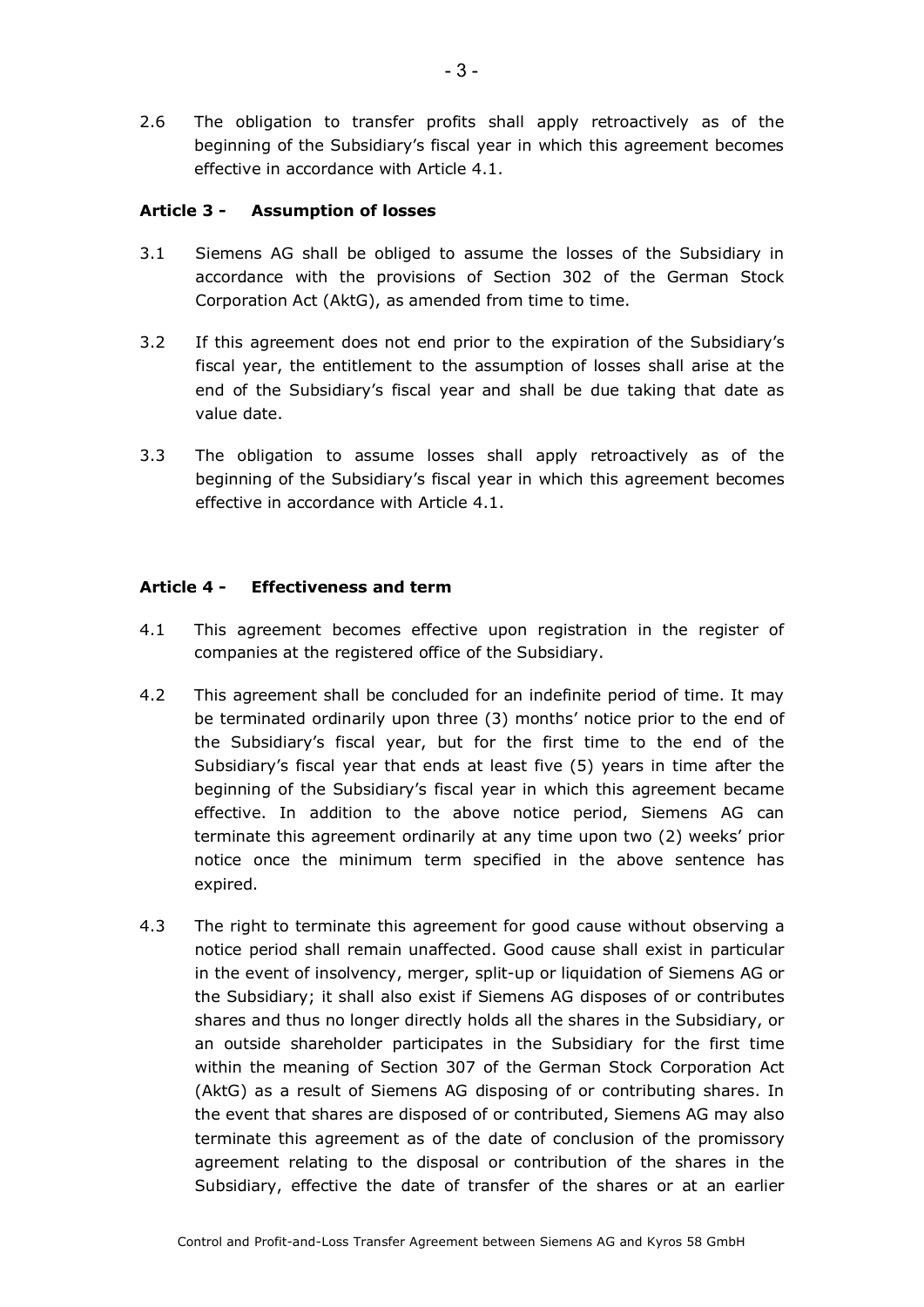2.6 The obligation to transfer profits shall apply retroactively as of the beginning of the Subsidiary's fiscal year in which this agreement becomes effective in accordance with Article 4.1.

# **Article 3 - Assumption of losses**

- 3.1 Siemens AG shall be obliged to assume the losses of the Subsidiary in accordance with the provisions of Section 302 of the German Stock Corporation Act (AktG), as amended from time to time.
- 3.2 If this agreement does not end prior to the expiration of the Subsidiary's fiscal year, the entitlement to the assumption of losses shall arise at the end of the Subsidiary's fiscal year and shall be due taking that date as value date.
- 3.3 The obligation to assume losses shall apply retroactively as of the beginning of the Subsidiary's fiscal year in which this agreement becomes effective in accordance with Article 4.1.

# **Article 4 - Effectiveness and term**

- 4.1 This agreement becomes effective upon registration in the register of companies at the registered office of the Subsidiary.
- 4.2 This agreement shall be concluded for an indefinite period of time. It may be terminated ordinarily upon three (3) months' notice prior to the end of the Subsidiary's fiscal year, but for the first time to the end of the Subsidiary's fiscal year that ends at least five (5) years in time after the beginning of the Subsidiary's fiscal year in which this agreement became effective. In addition to the above notice period, Siemens AG can terminate this agreement ordinarily at any time upon two (2) weeks' prior notice once the minimum term specified in the above sentence has expired.
- 4.3 The right to terminate this agreement for good cause without observing a notice period shall remain unaffected. Good cause shall exist in particular in the event of insolvency, merger, split-up or liquidation of Siemens AG or the Subsidiary; it shall also exist if Siemens AG disposes of or contributes shares and thus no longer directly holds all the shares in the Subsidiary, or an outside shareholder participates in the Subsidiary for the first time within the meaning of Section 307 of the German Stock Corporation Act (AktG) as a result of Siemens AG disposing of or contributing shares. In the event that shares are disposed of or contributed, Siemens AG may also terminate this agreement as of the date of conclusion of the promissory agreement relating to the disposal or contribution of the shares in the Subsidiary, effective the date of transfer of the shares or at an earlier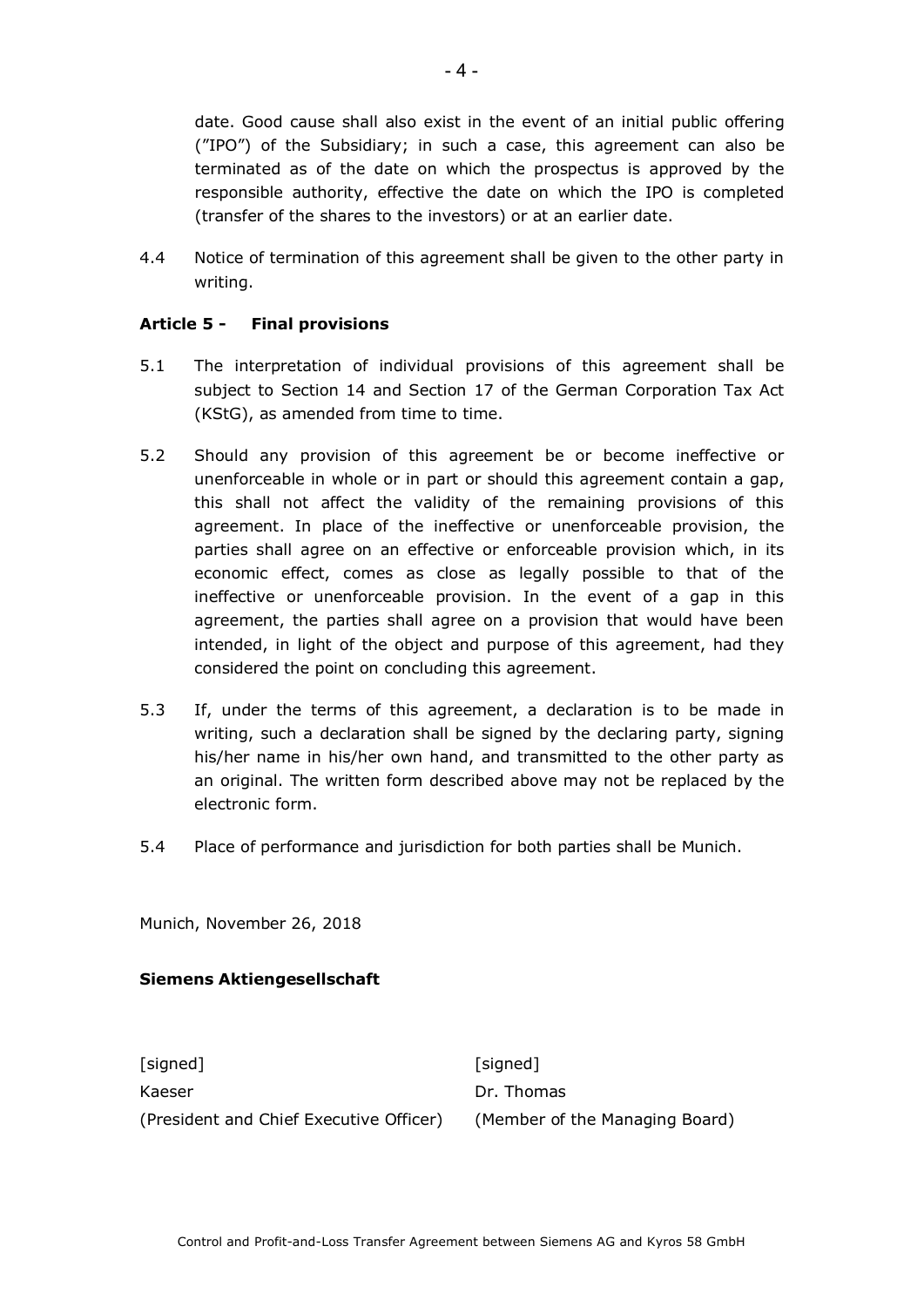date. Good cause shall also exist in the event of an initial public offering ("IPO") of the Subsidiary; in such a case, this agreement can also be terminated as of the date on which the prospectus is approved by the responsible authority, effective the date on which the IPO is completed (transfer of the shares to the investors) or at an earlier date.

4.4 Notice of termination of this agreement shall be given to the other party in writing.

## **Article 5 - Final provisions**

- 5.1 The interpretation of individual provisions of this agreement shall be subject to Section 14 and Section 17 of the German Corporation Tax Act (KStG), as amended from time to time.
- 5.2 Should any provision of this agreement be or become ineffective or unenforceable in whole or in part or should this agreement contain a gap, this shall not affect the validity of the remaining provisions of this agreement. In place of the ineffective or unenforceable provision, the parties shall agree on an effective or enforceable provision which, in its economic effect, comes as close as legally possible to that of the ineffective or unenforceable provision. In the event of a gap in this agreement, the parties shall agree on a provision that would have been intended, in light of the object and purpose of this agreement, had they considered the point on concluding this agreement.
- 5.3 If, under the terms of this agreement, a declaration is to be made in writing, such a declaration shall be signed by the declaring party, signing his/her name in his/her own hand, and transmitted to the other party as an original. The written form described above may not be replaced by the electronic form.
- 5.4 Place of performance and jurisdiction for both parties shall be Munich.

Munich, November 26, 2018

#### **Siemens Aktiengesellschaft**

[signed] [signed] Kaeser **Dr. Thomas** (President and Chief Executive Officer) (Member of the Managing Board)